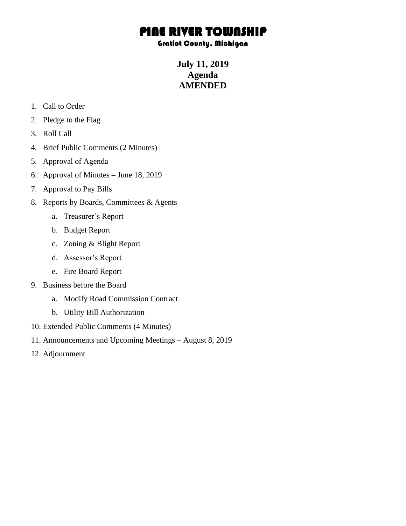## PINE RIVER TOWNSHIP

## Gratiot County, Michigan

**July 11, 2019 Agenda AMENDED**

- 1. Call to Order
- 2. Pledge to the Flag
- 3. Roll Call
- 4. Brief Public Comments (2 Minutes)
- 5. Approval of Agenda
- 6. Approval of Minutes June 18, 2019
- 7. Approval to Pay Bills
- 8. Reports by Boards, Committees & Agents
	- a. Treasurer's Report
	- b. Budget Report
	- c. Zoning & Blight Report
	- d. Assessor's Report
	- e. Fire Board Report
- 9. Business before the Board
	- a. Modify Road Commission Contract
	- b. Utility Bill Authorization
- 10. Extended Public Comments (4 Minutes)
- 11. Announcements and Upcoming Meetings August 8, 2019
- 12. Adjournment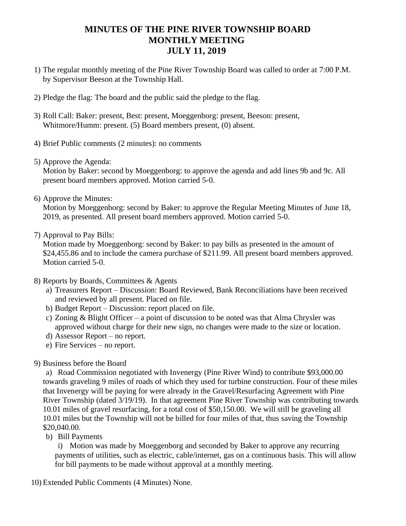## **MINUTES OF THE PINE RIVER TOWNSHIP BOARD MONTHLY MEETING JULY 11, 2019**

- 1) The regular monthly meeting of the Pine River Township Board was called to order at 7:00 P.M. by Supervisor Beeson at the Township Hall.
- 2) Pledge the flag: The board and the public said the pledge to the flag.
- 3) Roll Call: Baker: present, Best: present, Moeggenborg: present, Beeson: present, Whitmore/Humm: present. (5) Board members present, (0) absent.
- 4) Brief Public comments (2 minutes): no comments
- 5) Approve the Agenda:

Motion by Baker: second by Moeggenborg: to approve the agenda and add lines 9b and 9c. All present board members approved. Motion carried 5-0.

6) Approve the Minutes:

Motion by Moeggenborg: second by Baker: to approve the Regular Meeting Minutes of June 18, 2019, as presented. All present board members approved. Motion carried 5-0.

7) Approval to Pay Bills:

Motion made by Moeggenborg: second by Baker: to pay bills as presented in the amount of \$24,455.86 and to include the camera purchase of \$211.99. All present board members approved. Motion carried 5-0.

- 8) Reports by Boards, Committees & Agents
	- a) Treasurers Report Discussion: Board Reviewed, Bank Reconciliations have been received and reviewed by all present. Placed on file.
	- b) Budget Report Discussion: report placed on file.
	- c) Zoning & Blight Officer a point of discussion to be noted was that Alma Chrysler was approved without charge for their new sign, no changes were made to the size or location.
	- d) Assessor Report no report.
	- e) Fire Services no report.
- 9) Business before the Board

a) Road Commission negotiated with Invenergy (Pine River Wind) to contribute \$93,000.00 towards graveling 9 miles of roads of which they used for turbine construction. Four of these miles that Invenergy will be paying for were already in the Gravel/Resurfacing Agreement with Pine River Township (dated 3/19/19). In that agreement Pine River Township was contributing towards 10.01 miles of gravel resurfacing, for a total cost of \$50,150.00. We will still be graveling all 10.01 miles but the Township will not be billed for four miles of that, thus saving the Township \$20,040.00.

b) Bill Payments

i) Motion was made by Moeggenborg and seconded by Baker to approve any recurring payments of utilities, such as electric, cable/internet, gas on a continuous basis. This will allow for bill payments to be made without approval at a monthly meeting.

10) Extended Public Comments (4 Minutes) None.